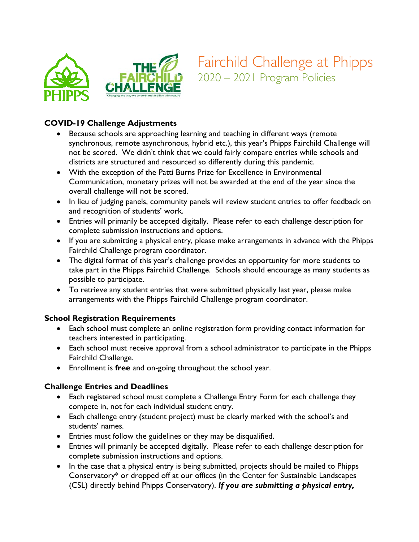

Fairchild Challenge at Phipps 2020 – 2021 Program Policies

#### **COVID-19 Challenge Adjustments**

- Because schools are approaching learning and teaching in different ways (remote synchronous, remote asynchronous, hybrid etc.), this year's Phipps Fairchild Challenge will not be scored. We didn't think that we could fairly compare entries while schools and districts are structured and resourced so differently during this pandemic.
- With the exception of the Patti Burns Prize for Excellence in Environmental Communication, monetary prizes will not be awarded at the end of the year since the overall challenge will not be scored.
- In lieu of judging panels, community panels will review student entries to offer feedback on and recognition of students' work.
- Entries will primarily be accepted digitally. Please refer to each challenge description for complete submission instructions and options.
- If you are submitting a physical entry, please make arrangements in advance with the Phipps Fairchild Challenge program coordinator.
- The digital format of this year's challenge provides an opportunity for more students to take part in the Phipps Fairchild Challenge. Schools should encourage as many students as possible to participate.
- To retrieve any student entries that were submitted physically last year, please make arrangements with the Phipps Fairchild Challenge program coordinator.

#### **School Registration Requirements**

- Each school must complete an online registration form providing contact information for teachers interested in participating.
- Each school must receive approval from a school administrator to participate in the Phipps Fairchild Challenge.
- Enrollment is **free** and on-going throughout the school year.

#### **Challenge Entries and Deadlines**

- Each registered school must complete a Challenge Entry Form for each challenge they compete in, not for each individual student entry.
- Each challenge entry (student project) must be clearly marked with the school's and students' names.
- Entries must follow the guidelines or they may be disqualified.
- Entries will primarily be accepted digitally. Please refer to each challenge description for complete submission instructions and options.
- In the case that a physical entry is being submitted, projects should be mailed to Phipps Conservatory\* or dropped off at our offices (in the Center for Sustainable Landscapes (CSL) directly behind Phipps Conservatory). *If you are submitting a physical entry,*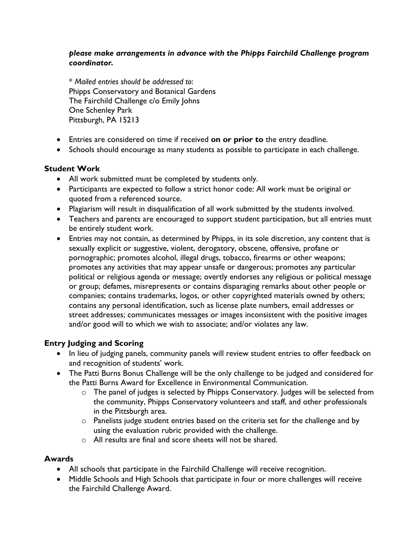### *please make arrangements in advance with the Phipps Fairchild Challenge program coordinator.*

\* *Mailed entries should be addressed to*: Phipps Conservatory and Botanical Gardens The Fairchild Challenge c/o Emily Johns One Schenley Park Pittsburgh, PA 15213

- Entries are considered on time if received **on or prior to** the entry deadline.
- Schools should encourage as many students as possible to participate in each challenge.

### **Student Work**

- All work submitted must be completed by students only.
- Participants are expected to follow a strict honor code: All work must be original or quoted from a referenced source.
- Plagiarism will result in disqualification of all work submitted by the students involved.
- Teachers and parents are encouraged to support student participation, but all entries must be entirely student work.
- Entries may not contain, as determined by Phipps, in its sole discretion, any content that is sexually explicit or suggestive, violent, derogatory, obscene, offensive, profane or pornographic; promotes alcohol, illegal drugs, tobacco, firearms or other weapons; promotes any activities that may appear unsafe or dangerous; promotes any particular political or religious agenda or message; overtly endorses any religious or political message or group; defames, misrepresents or contains disparaging remarks about other people or companies; contains trademarks, logos, or other copyrighted materials owned by others; contains any personal identification, such as license plate numbers, email addresses or street addresses; communicates messages or images inconsistent with the positive images and/or good will to which we wish to associate; and/or violates any law.

## **Entry Judging and Scoring**

- In lieu of judging panels, community panels will review student entries to offer feedback on and recognition of students' work.
- The Patti Burns Bonus Challenge will be the only challenge to be judged and considered for the Patti Burns Award for Excellence in Environmental Communication.
	- o The panel of judges is selected by Phipps Conservatory. Judges will be selected from the community, Phipps Conservatory volunteers and staff, and other professionals in the Pittsburgh area.
	- $\circ$  Panelists judge student entries based on the criteria set for the challenge and by using the evaluation rubric provided with the challenge.
	- o All results are final and score sheets will not be shared.

## **Awards**

- All schools that participate in the Fairchild Challenge will receive recognition.
- Middle Schools and High Schools that participate in four or more challenges will receive the Fairchild Challenge Award.